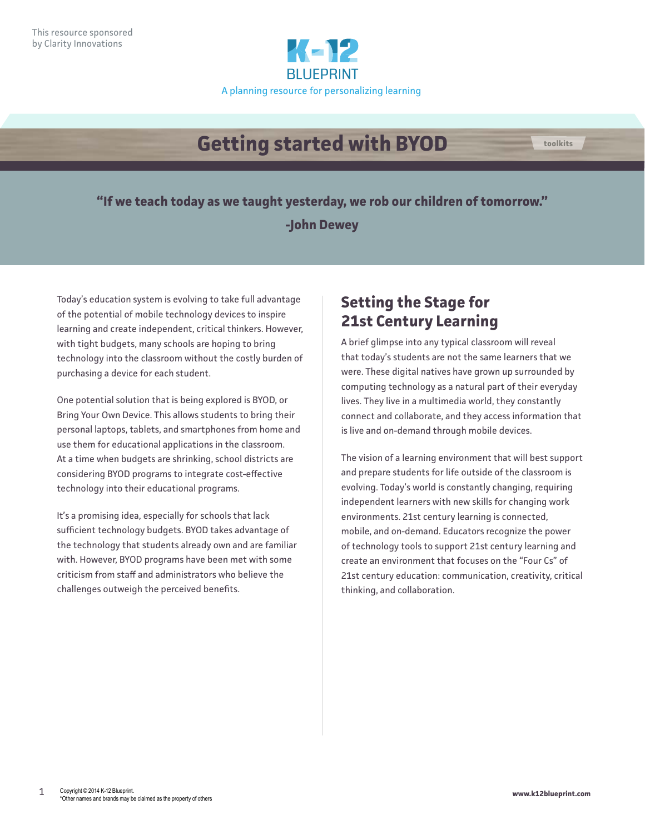

# **Getting started with BYOD**

**"If we teach today as we taught yesterday, we rob our children of tomorrow." -John Dewey**

Today's education system is evolving to take full advantage of the potential of mobile technology devices to inspire learning and create independent, critical thinkers. However, with tight budgets, many schools are hoping to bring technology into the classroom without the costly burden of purchasing a device for each student.

One potential solution that is being explored is BYOD, or Bring Your Own Device. This allows students to bring their personal laptops, tablets, and smartphones from home and use them for educational applications in the classroom. At a time when budgets are shrinking, school districts are considering BYOD programs to integrate cost-effective technology into their educational programs.

It's a promising idea, especially for schools that lack sufficient technology budgets. BYOD takes advantage of the technology that students already own and are familiar with. However, BYOD programs have been met with some criticism from staff and administrators who believe the challenges outweigh the perceived benefits.

## **Setting the Stage for 21st Century Learning**

A brief glimpse into any typical classroom will reveal that today's students are not the same learners that we were. These digital natives have grown up surrounded by computing technology as a natural part of their everyday lives. They live in a multimedia world, they constantly connect and collaborate, and they access information that is live and on-demand through mobile devices.

The vision of a learning environment that will best support and prepare students for life outside of the classroom is evolving. Today's world is constantly changing, requiring independent learners with new skills for changing work environments. 21st century learning is connected, mobile, and on-demand. Educators recognize the power of technology tools to support 21st century learning and create an environment that focuses on the "Four Cs" of 21st century education: communication, creativity, critical thinking, and collaboration.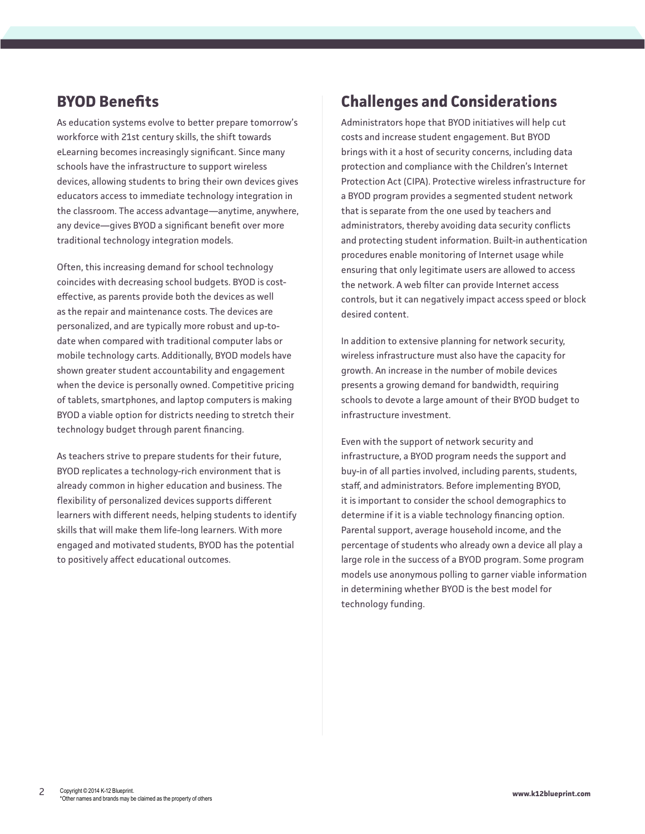### **BYOD Benefits**

As education systems evolve to better prepare tomorrow's workforce with 21st century skills, the shift towards eLearning becomes increasingly significant. Since many schools have the infrastructure to support wireless devices, allowing students to bring their own devices gives educators access to immediate technology integration in the classroom. The access advantage—anytime, anywhere, any device—gives BYOD a significant benefit over more traditional technology integration models.

Often, this increasing demand for school technology coincides with decreasing school budgets. BYOD is costeffective, as parents provide both the devices as well as the repair and maintenance costs. The devices are personalized, and are typically more robust and up-todate when compared with traditional computer labs or mobile technology carts. Additionally, BYOD models have shown greater student accountability and engagement when the device is personally owned. Competitive pricing of tablets, smartphones, and laptop computers is making BYOD a viable option for districts needing to stretch their technology budget through parent financing.

As teachers strive to prepare students for their future, BYOD replicates a technology-rich environment that is already common in higher education and business. The flexibility of personalized devices supports different learners with different needs, helping students to identify skills that will make them life-long learners. With more engaged and motivated students, BYOD has the potential to positively affect educational outcomes.

# **Challenges and Considerations**

Administrators hope that BYOD initiatives will help cut costs and increase student engagement. But BYOD brings with it a host of security concerns, including data protection and compliance with the Children's Internet Protection Act (CIPA). Protective wireless infrastructure for a BYOD program provides a segmented student network that is separate from the one used by teachers and administrators, thereby avoiding data security conflicts and protecting student information. Built-in authentication procedures enable monitoring of Internet usage while ensuring that only legitimate users are allowed to access the network. A web filter can provide Internet access controls, but it can negatively impact access speed or block desired content.

In addition to extensive planning for network security, wireless infrastructure must also have the capacity for growth. An increase in the number of mobile devices presents a growing demand for bandwidth, requiring schools to devote a large amount of their BYOD budget to infrastructure investment.

Even with the support of network security and infrastructure, a BYOD program needs the support and buy-in of all parties involved, including parents, students, staff, and administrators. Before implementing BYOD, it is important to consider the school demographics to determine if it is a viable technology financing option. Parental support, average household income, and the percentage of students who already own a device all play a large role in the success of a BYOD program. Some program models use anonymous polling to garner viable information in determining whether BYOD is the best model for technology funding.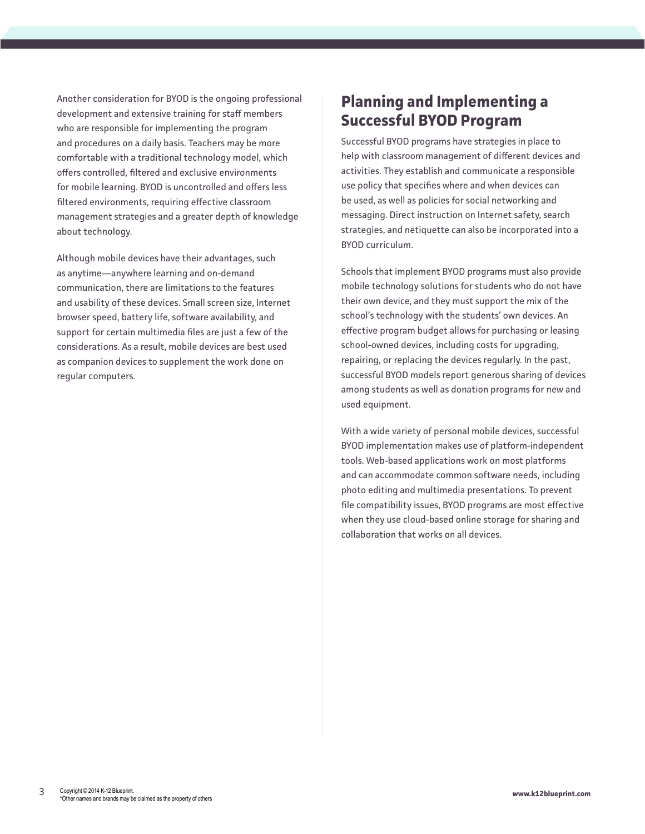Another consideration for BYOD is the ongoing professional development and extensive training for staff members who are responsible for implementing the program and procedures on a daily basis. Teachers may be more comfortable with a traditional technology model, which offers controlled, filtered and exclusive environments for mobile learning. BYOD is uncontrolled and offers less filtered environments, requiring effective classroom management strategies and a greater depth of knowledge about technology.

Although mobile devices have their advantages, such as anytime—anywhere learning and on-demand communication, there are limitations to the features and usability of these devices. Small screen size, Internet browser speed, battery life, software availability, and support for certain multimedia files are just a few of the considerations. As a result, mobile devices are best used as companion devices to supplement the work done on regular computers.

### **Planning and Implementing a Successful BYOD Program**

Successful BYOD programs have strategies in place to help with classroom management of different devices and activities. They establish and communicate a responsible use policy that specifies where and when devices can be used, as well as policies for social networking and messaging. Direct instruction on Internet safety, search strategies, and netiquette can also be incorporated into a BYOD curriculum.

Schools that implement BYOD programs must also provide mobile technology solutions for students who do not have their own device, and they must support the mix of the school's technology with the students' own devices. An effective program budget allows for purchasing or leasing school-owned devices, including costs for upgrading, repairing, or replacing the devices regularly. In the past, successful BYOD models report generous sharing of devices among students as well as donation programs for new and used equipment.

With a wide variety of personal mobile devices, successful BYOD implementation makes use of platform-independent tools. Web-based applications work on most platforms and can accommodate common software needs, including photo editing and multimedia presentations. To prevent file compatibility issues, BYOD programs are most effective when they use cloud-based online storage for sharing and collaboration that works on all devices.